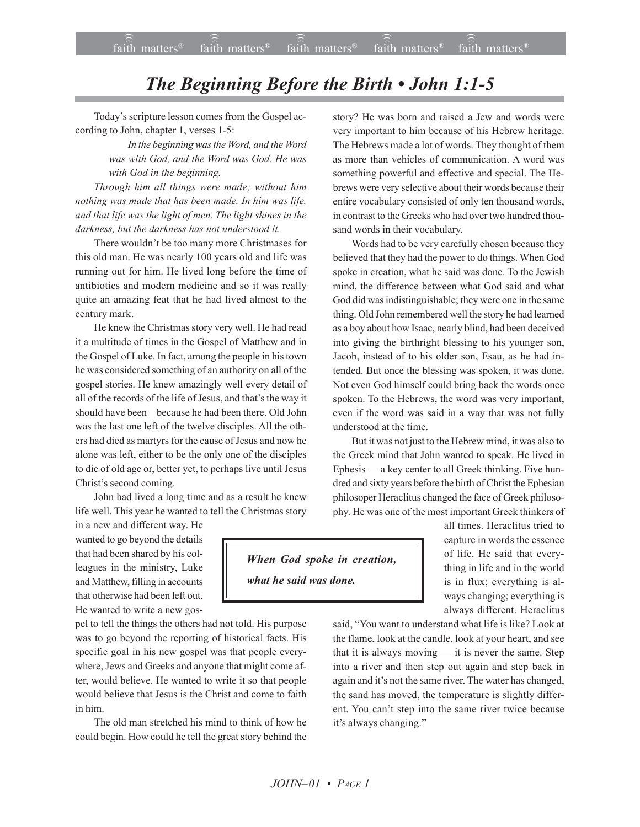## *The Beginning Before the Birth • John 1:1-5*

Today's scripture lesson comes from the Gospel according to John, chapter 1, verses 1-5:

> *In the beginning was the Word, and the Word was with God, and the Word was God. He was with God in the beginning.*

*Through him all things were made; without him nothing was made that has been made. In him was life, and that life was the light of men. The light shines in the darkness, but the darkness has not understood it.*

There wouldn't be too many more Christmases for this old man. He was nearly 100 years old and life was running out for him. He lived long before the time of antibiotics and modern medicine and so it was really quite an amazing feat that he had lived almost to the century mark.

He knew the Christmas story very well. He had read it a multitude of times in the Gospel of Matthew and in the Gospel of Luke. In fact, among the people in his town he was considered something of an authority on all of the gospel stories. He knew amazingly well every detail of all of the records of the life of Jesus, and that's the way it should have been - because he had been there. Old John was the last one left of the twelve disciples. All the others had died as martyrs for the cause of Jesus and now he alone was left, either to be the only one of the disciples to die of old age or, better yet, to perhaps live until Jesus Christ's second coming.

John had lived a long time and as a result he knew life well. This year he wanted to tell the Christmas story

in a new and different way. He wanted to go beyond the details that had been shared by his colleagues in the ministry, Luke and Matthew, filling in accounts that otherwise had been left out. He wanted to write a new gos-

pel to tell the things the others had not told. His purpose was to go beyond the reporting of historical facts. His specific goal in his new gospel was that people everywhere, Jews and Greeks and anyone that might come after, would believe. He wanted to write it so that people would believe that Jesus is the Christ and come to faith in him.

The old man stretched his mind to think of how he could begin. How could he tell the great story behind the story? He was born and raised a Jew and words were very important to him because of his Hebrew heritage. The Hebrews made a lot of words. They thought of them as more than vehicles of communication. A word was something powerful and effective and special. The Hebrews were very selective about their words because their entire vocabulary consisted of only ten thousand words, in contrast to the Greeks who had over two hundred thousand words in their vocabulary.

Words had to be very carefully chosen because they believed that they had the power to do things. When God spoke in creation, what he said was done. To the Jewish mind, the difference between what God said and what God did was indistinguishable; they were one in the same thing. Old John remembered well the story he had learned as a boy about how Isaac, nearly blind, had been deceived into giving the birthright blessing to his younger son, Jacob, instead of to his older son, Esau, as he had intended. But once the blessing was spoken, it was done. Not even God himself could bring back the words once spoken. To the Hebrews, the word was very important, even if the word was said in a way that was not fully understood at the time.

But it was not just to the Hebrew mind, it was also to the Greek mind that John wanted to speak. He lived in Ephesis — a key center to all Greek thinking. Five hundred and sixty years before the birth of Christ the Ephesian philosoper Heraclitus changed the face of Greek philosophy. He was one of the most important Greek thinkers of

> all times. Heraclitus tried to capture in words the essence of life. He said that everything in life and in the world is in flux; everything is always changing; everything is always different. Heraclitus

said, "You want to understand what life is like? Look at the flame, look at the candle, look at your heart, and see that it is always moving  $-$  it is never the same. Step into a river and then step out again and step back in again and it's not the same river. The water has changed, the sand has moved, the temperature is slightly different. You can't step into the same river twice because it's always changing."

*When God spoke in creation, what he said was done.*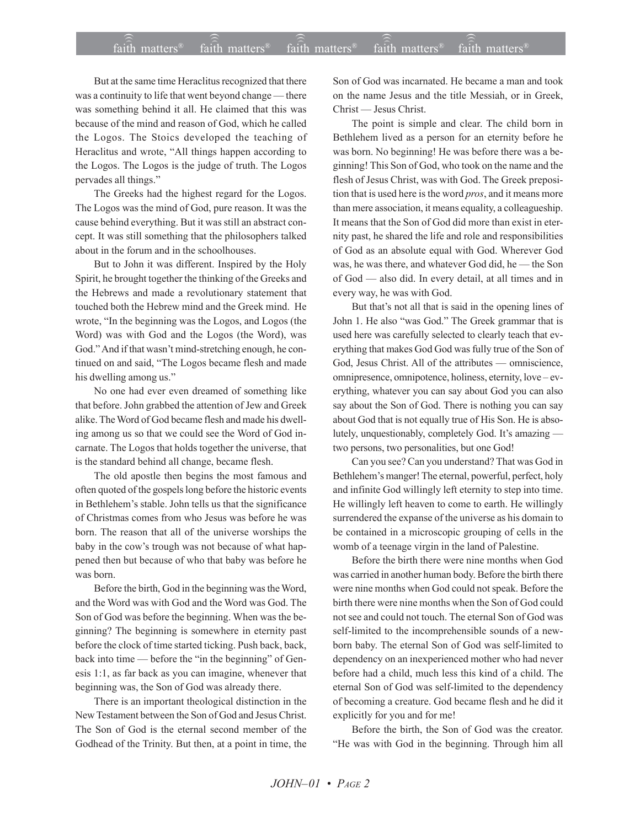## $\widehat{\widehat{\mathfrak{tair}}}$  matters  $\widehat{\widehat{\mathfrak{tair}}}$  matters  $\widehat{\widehat{\mathfrak{tair}}}$  matters  $\widehat{\widehat{\mathfrak{tair}}}$  matters  $\widehat{\widehat{\mathfrak{se}}}$  faith matters faith matters<sup>®</sup> faith matters<sup>®</sup> faith matters<sup> $0$ </sup>

But at the same time Heraclitus recognized that there was a continuity to life that went beyond change – there was something behind it all. He claimed that this was because of the mind and reason of God, which he called the Logos. The Stoics developed the teaching of Heraclitus and wrote, "All things happen according to the Logos. The Logos is the judge of truth. The Logos pervades all things."

The Greeks had the highest regard for the Logos. The Logos was the mind of God, pure reason. It was the cause behind everything. But it was still an abstract concept. It was still something that the philosophers talked about in the forum and in the schoolhouses.

But to John it was different. Inspired by the Holy Spirit, he brought together the thinking of the Greeks and the Hebrews and made a revolutionary statement that touched both the Hebrew mind and the Greek mind. He wrote, "In the beginning was the Logos, and Logos (the Word) was with God and the Logos (the Word), was God." And if that wasn't mind-stretching enough, he continued on and said, "The Logos became flesh and made his dwelling among us."

No one had ever even dreamed of something like that before. John grabbed the attention of Jew and Greek alike. The Word of God became flesh and made his dwelling among us so that we could see the Word of God incarnate. The Logos that holds together the universe, that is the standard behind all change, became flesh.

The old apostle then begins the most famous and often quoted of the gospels long before the historic events in Bethlehem's stable. John tells us that the significance of Christmas comes from who Jesus was before he was born. The reason that all of the universe worships the baby in the cow's trough was not because of what happened then but because of who that baby was before he was born.

Before the birth, God in the beginning was the Word, and the Word was with God and the Word was God. The Son of God was before the beginning. When was the beginning? The beginning is somewhere in eternity past before the clock of time started ticking. Push back, back, back into time  $-$  before the "in the beginning" of Genesis 1:1, as far back as you can imagine, whenever that beginning was, the Son of God was already there.

There is an important theological distinction in the New Testament between the Son of God and Jesus Christ. The Son of God is the eternal second member of the Godhead of the Trinity. But then, at a point in time, the Son of God was incarnated. He became a man and took on the name Jesus and the title Messiah, or in Greek, Christ - Jesus Christ.

The point is simple and clear. The child born in Bethlehem lived as a person for an eternity before he was born. No beginning! He was before there was a beginning! This Son of God, who took on the name and the flesh of Jesus Christ, was with God. The Greek preposition that is used here is the word *pros*, and it means more than mere association, it means equality, a colleagueship. It means that the Son of God did more than exist in eternity past, he shared the life and role and responsibilities of God as an absolute equal with God. Wherever God was, he was there, and whatever God did, he - the Son of God – also did. In every detail, at all times and in every way, he was with God.

But that's not all that is said in the opening lines of John 1. He also "was God." The Greek grammar that is used here was carefully selected to clearly teach that everything that makes God God was fully true of the Son of God, Jesus Christ. All of the attributes  $-$  omniscience, omnipresence, omnipotence, holiness, eternity, love - everything, whatever you can say about God you can also say about the Son of God. There is nothing you can say about God that is not equally true of His Son. He is absolutely, unquestionably, completely God. It's amazing  $$ two persons, two personalities, but one God!

Can you see? Can you understand? That was God in Bethlehem's manger! The eternal, powerful, perfect, holy and infinite God willingly left eternity to step into time. He willingly left heaven to come to earth. He willingly surrendered the expanse of the universe as his domain to be contained in a microscopic grouping of cells in the womb of a teenage virgin in the land of Palestine.

Before the birth there were nine months when God was carried in another human body. Before the birth there were nine months when God could not speak. Before the birth there were nine months when the Son of God could not see and could not touch. The eternal Son of God was self-limited to the incomprehensible sounds of a newborn baby. The eternal Son of God was self-limited to dependency on an inexperienced mother who had never before had a child, much less this kind of a child. The eternal Son of God was self-limited to the dependency of becoming a creature. God became flesh and he did it explicitly for you and for me!

Before the birth, the Son of God was the creator. "He was with God in the beginning. Through him all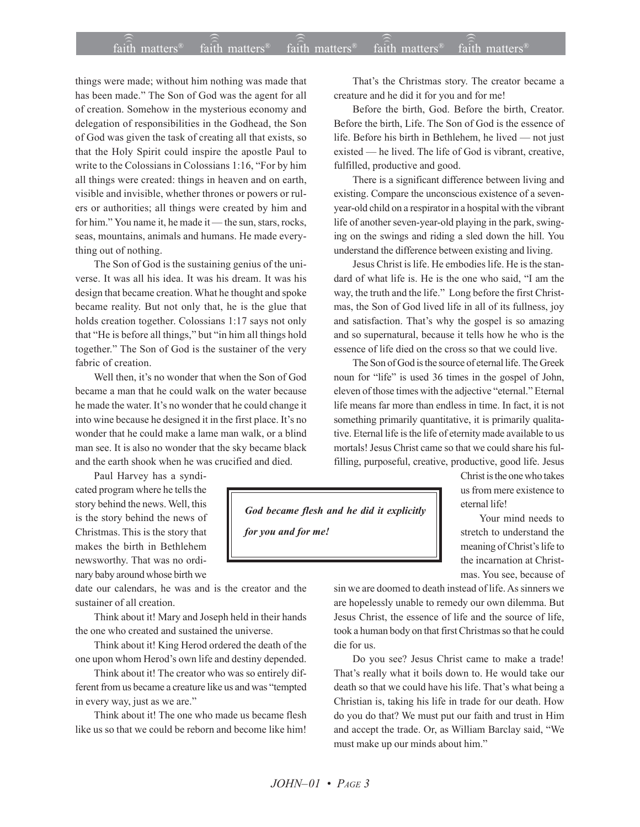## $\widehat{\widehat{\mathfrak{tair}}}$  matters  $\widehat{\widehat{\mathfrak{tair}}}$  matters  $\widehat{\widehat{\mathfrak{tair}}}$  matters  $\widehat{\widehat{\mathfrak{tair}}}$  matters  $\widehat{\widehat{\mathfrak{se}}}$  faith matters faith matters<sup>®</sup> faith matters<sup>®</sup>  $fa$  $\hat{i}$ th matters<sup> $\hat{i}$ </sup>

things were made; without him nothing was made that has been made." The Son of God was the agent for all of creation. Somehow in the mysterious economy and delegation of responsibilities in the Godhead, the Son of God was given the task of creating all that exists, so that the Holy Spirit could inspire the apostle Paul to write to the Colossians in Colossians 1:16, "For by him all things were created: things in heaven and on earth, visible and invisible, whether thrones or powers or rulers or authorities; all things were created by him and for him." You name it, he made it — the sun, stars, rocks, seas, mountains, animals and humans. He made everything out of nothing.

The Son of God is the sustaining genius of the universe. It was all his idea. It was his dream. It was his design that became creation. What he thought and spoke became reality. But not only that, he is the glue that holds creation together. Colossians 1:17 says not only that "He is before all things," but "in him all things hold together." The Son of God is the sustainer of the very fabric of creation.

Well then, it's no wonder that when the Son of God became a man that he could walk on the water because he made the water. It's no wonder that he could change it into wine because he designed it in the first place. It's no wonder that he could make a lame man walk, or a blind man see. It is also no wonder that the sky became black and the earth shook when he was crucified and died.

Paul Harvey has a syndicated program where he tells the story behind the news. Well, this is the story behind the news of Christmas. This is the story that makes the birth in Bethlehem newsworthy. That was no ordinary baby around whose birth we

date our calendars, he was and is the creator and the sustainer of all creation.

Think about it! Mary and Joseph held in their hands the one who created and sustained the universe.

Think about it! King Herod ordered the death of the one upon whom Herod's own life and destiny depended.

Think about it! The creator who was so entirely different from us became a creature like us and was "tempted in every way, just as we are."

Think about it! The one who made us became flesh like us so that we could be reborn and become like him!

That's the Christmas story. The creator became a creature and he did it for you and for me!

Before the birth, God. Before the birth, Creator. Before the birth, Life. The Son of God is the essence of life. Before his birth in Bethlehem, he lived  $-$  not just existed  $-$  he lived. The life of God is vibrant, creative, fulfilled, productive and good.

There is a significant difference between living and existing. Compare the unconscious existence of a sevenyear-old child on a respirator in a hospital with the vibrant life of another seven-year-old playing in the park, swinging on the swings and riding a sled down the hill. You understand the difference between existing and living.

Jesus Christ is life. He embodies life. He is the standard of what life is. He is the one who said, "I am the way, the truth and the life." Long before the first Christmas, the Son of God lived life in all of its fullness, joy and satisfaction. That's why the gospel is so amazing and so supernatural, because it tells how he who is the essence of life died on the cross so that we could live.

The Son of God is the source of eternal life. The Greek noun for "life" is used 36 times in the gospel of John, eleven of those times with the adjective "eternal." Eternal life means far more than endless in time. In fact, it is not something primarily quantitative, it is primarily qualitative. Eternal life is the life of eternity made available to us mortals! Jesus Christ came so that we could share his fulfilling, purposeful, creative, productive, good life. Jesus

> Christ is the one who takes us from mere existence to eternal life!

Your mind needs to stretch to understand the meaning of Christ's life to the incarnation at Christmas. You see, because of

sin we are doomed to death instead of life. As sinners we are hopelessly unable to remedy our own dilemma. But Jesus Christ, the essence of life and the source of life, took a human body on that first Christmas so that he could die for us.

Do you see? Jesus Christ came to make a trade! That's really what it boils down to. He would take our death so that we could have his life. That's what being a Christian is, taking his life in trade for our death. How do you do that? We must put our faith and trust in Him and accept the trade. Or, as William Barclay said, "We must make up our minds about him."

*God became flesh and he did it explicitly*

*for you and for me!*